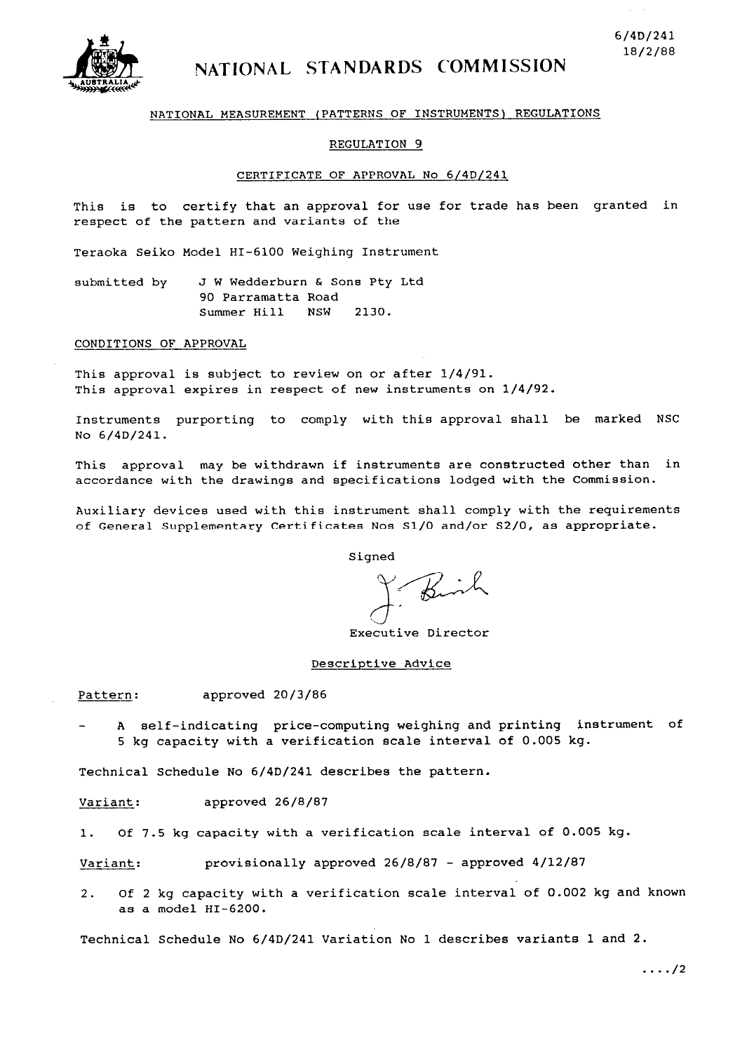

# NATIONAL STANDARDS COMMISSION

# **NATIONAL MEASUREMENT (PATTERNS OF INSTRUMENTS) REGULATIONS**

#### **REGULATION 9**

#### **CERTIFICATE OF APPROVAL No 6/4D/241**

**This is to certify that an approval for use for trade has been granted in respect of the pattern and variants of the** 

**Teraoka Seiko Model HI-6100 Weighing Instrument** 

**submitted by J W Wedderburn & Sons Pty Ltd 90 Parramatta Road Summer Hill NSW 2130.** 

#### **CONDITIONS OF APPROVAL**

**This approval is subject to review on or after l/4/91. This approval expires in respect of new instruments on l/4/92.** 

**Instruments purporting to comply with this approval shall be marked NSC No 6/4D/241.** 

**This approval may be withdrawn if instruments are constructed other than in accordance with the drawings and specifications lodged with the Commission.** 

**Auxiliary devices used with this instrument shall comply with the requirements of General Supplementary Certificates Nos Sl/O and/or S2/0, as appropriate.** 

**Signed** 

**Executive Director** 

#### **Descriptive Advice**

**Pattern: approved 20/3/86** 

**A self-indicating price-computing weighing and printing instrument of 5 kg capacity with a verification scale interval of 0.005 kg.** 

**Technical Schedule No 6/4D/241 describes the pattern.** 

Variant: approved 26/8/87

**1. Of 7.5 kg capacity with a verification scale interval of 0.005 kg.** 

Variant: provisionally approved 26/8/87 - approved 4/12/87

**2. Of 2 kg capacity with a verification scale interval of 0.002 kg and known as a model HI-6200.** 

**Technical Schedule No 6/4D/241 Variation No 1 describes variants 1 and 2.**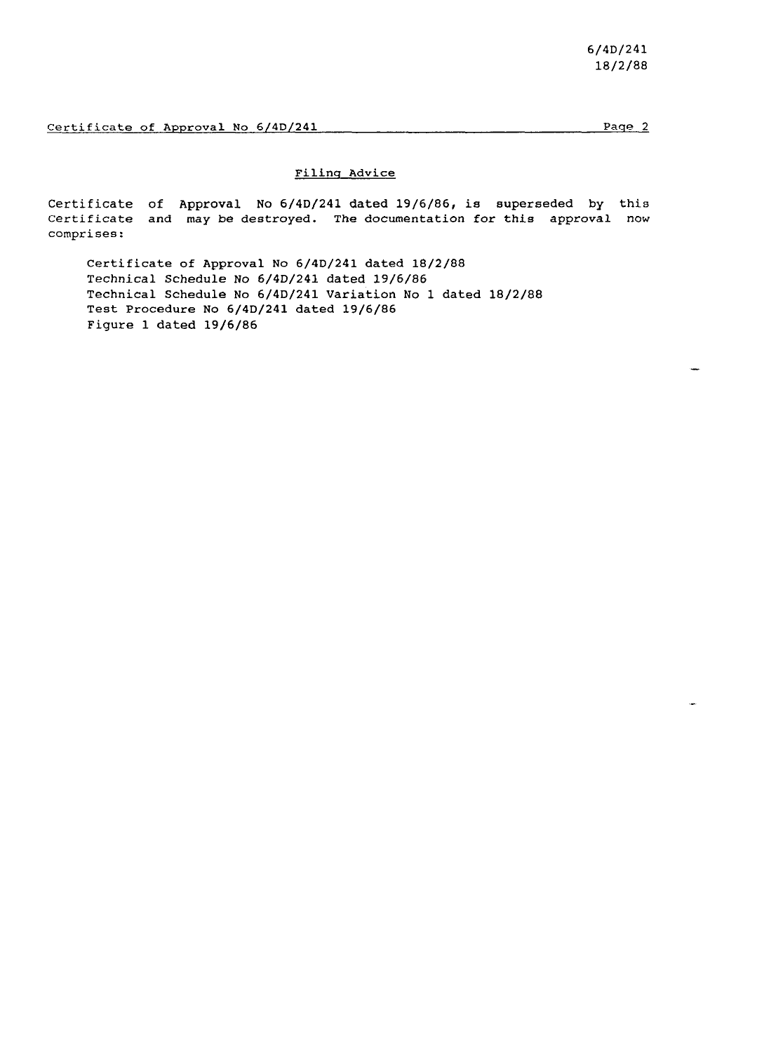# **Filing Advice**

**Certificate of Approval No 6/4D/241 dated 19/6/86, is superseded by this Certificate and may be destroyed. The documentation for this approval now comprises:** 

**Certificate of Approval No 6/4D/241 dated 18/2/88 Technical Schedule No 6/4D/241 dated 19/6/86 Technical Schedule No 6/4D/241 Variation No 1 dated 18/2/88 Test Procedure No 6/4D/241 dated 19/6/86 Figure 1 dated 19/6/86**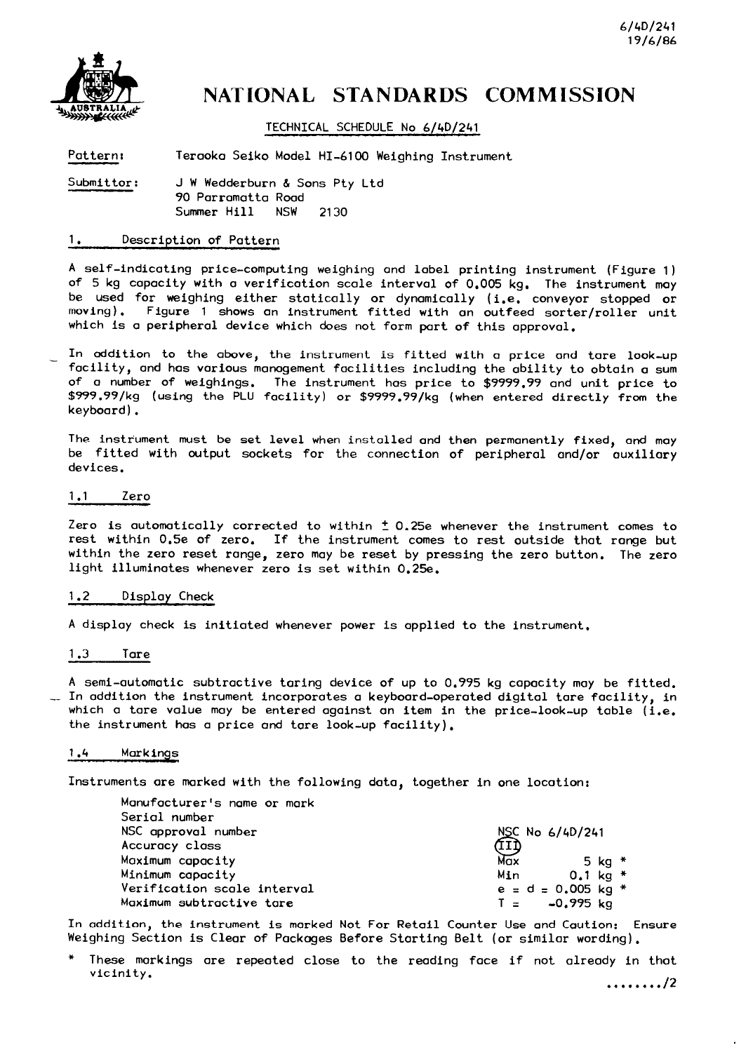

# NATIONAL STANDARDS COMMISSION

**TECHNICAL SCHEDULE No 6/4D/241** 

**Pattern: Teraoka Seiko Model HI-6100 Weighing Instrument** 

**Submittor: J W Wedderburn & Sons Pty Ltd 90 Parromatta Road Summer** Hill **NSW 2130** 

# **1. Description of Pattern**

A self-indicating price-computing weighing **and** label printing instrument (Figure **1) of** 5 **kg** capacity **with** a verification scale **interval of 0.005 kg, The** instrument **may be used for weighing either** statically or dynamically (i.e. **conveyor stopped or moving).** Figure **1 shows an instrument** fitted **with an outfeed** sorter/roller **unit which** is a peripheral device which does not form part **of** this approvol.

In oddition to **the above, the instrument** is fitted **with** a price **ond** tare look-up facility, **and has vorious manogement** facilities including the ability to **obtain a sum of o number of weighings. The instrument has** price **to \$9999.99 and** unit price to **\$999.99/kg (using the PLU** facility) or **\$SSSS.SS/kg (when entered** directly **from the**  keyboard).

**The instrument must be set** level **when installed and then** permanently fixed, and may be fitted with **output sockets for the connection of** peripheral and/or auxiliary **devices.** 

# **1 .l** Zero

Zero is automatically corrected **to within** ? 0.25e whenever the instrument comes to rest within 0.5e of zero. If **the instrument comes to rest outside that ronge but within the zero reset range,** zero **may be** reset **by** pressing **the zero button. The zero**  light illuminotes **whenever** zero is set within 0.25e.

# **1.2 Display Check**

**A** display **check** is initiated whenever power is applied to the instrument.

# **1 .3** Tare

**A semi-automatic** subtractive taring device **of up** to 0.995 **kg** copocity **may be** fitted. -- In **addition the instrument incorporates a keyboard-operated** digital tare facility, **in which** a tare value **may be** entered **against an item in** the price-look-up table (i.e. the instrument has a price and tare look-up facility).

#### **1.4 Markings**

**Instruments** are **marked** with **the** following **dota, together in one location:** 

| Manufacturer's name or mark |                      |
|-----------------------------|----------------------|
| Serial number               |                      |
| NSC approval number         | NSC No 6/4D/241      |
| Accuracy class              |                      |
| Maximum capacity            | Max.<br>5 kg $*$     |
| Minimum capacity            | 0.1 ka *<br>Min      |
| Verification scale interval | $e = d = 0.005$ kg * |
| Maximum subtractive tare    | -0.995 ka<br>$T =$   |

In addition, **the instrument is morked Not For Retail Counter Use and Caution:** Ensure Weighing Section is Clear **of Pockoges Before** Starting Belt (or similar wording).

\* **These** morkings ore **repeated** close to **the** reading **face if not** already **in that**  vicinity.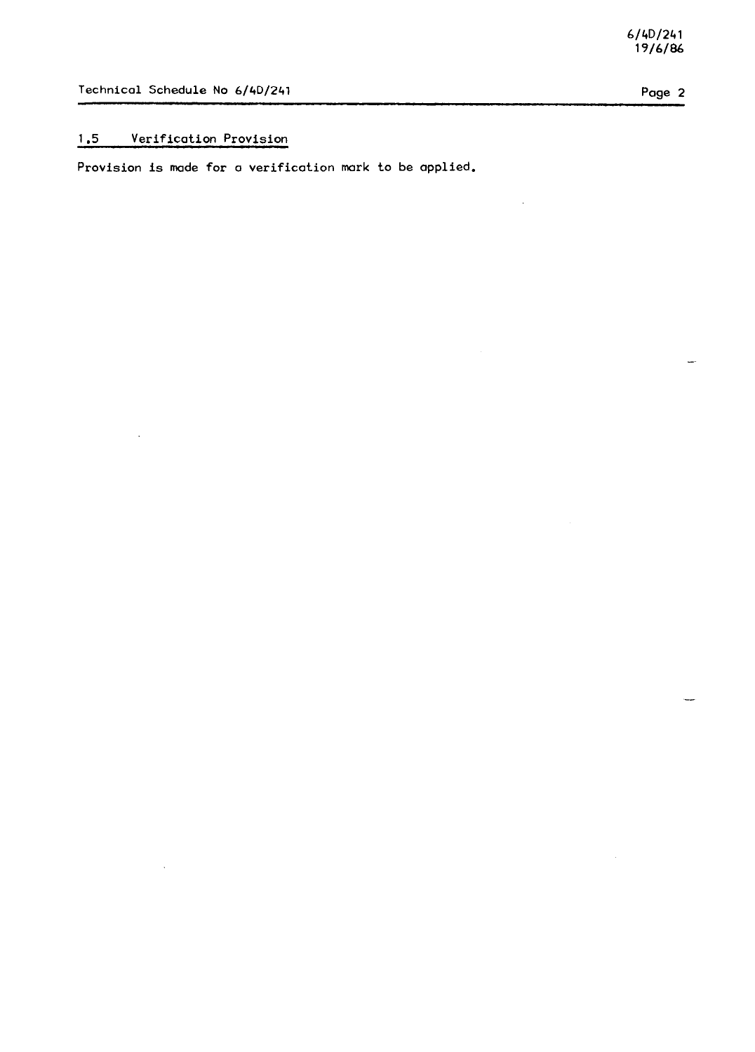# **1.5** Verification **Provision**

 $\ddot{\phantom{a}}$ 

**Provision** is **made for** o verification **mark** to **be** applied.

-

j.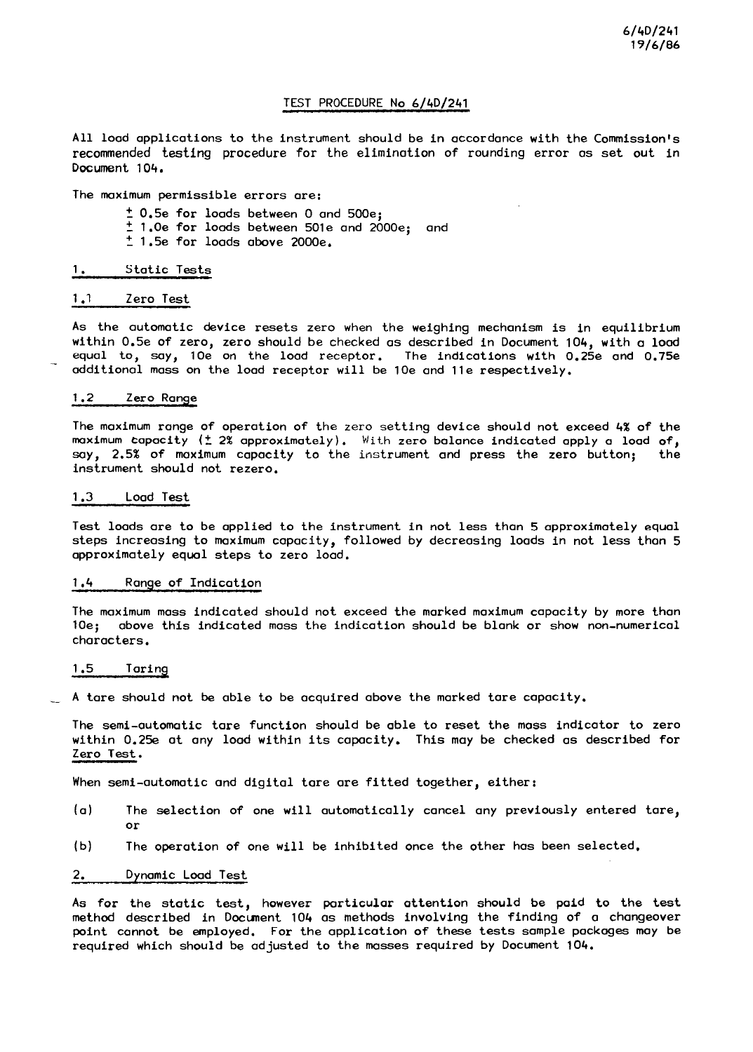# **TEST PROCEDURE No 6/4D/241**

All **lood applications** to **the** instrument should **be in** accordance **with the Commission's recommended testing** procedure for **the** elimination of rounding error os set **out in Document 104,** 

**The maximum** permissible errors are:

**2 0.5e for loads between 0 and 500e;**   $\frac{1}{2}$  1.0e for loads between 501e and 2000e; and **? 1.5e for loads above 2000e.** 

#### **1. Static Tests**

# 1 .I **Zero Test**

As **the** automatic &vice resets zero **when the** weighing **mechanism** is **in** equilibrium within **0.5e of zero, zero should be checked as described in Document 104, with a** load equal to, say, **10e on the** load receptor. **The** indications with **0.25e and 0.75e additionol** mass **on the** load receptor will **be 10e and lle respectively.** 

#### **1.2 Zero Range**

**The maximum ronge of operation of** the zero setting **device should not exceed 4% of the**  maximum Capacity (t 2% approximately). **With zero** balance indicated **apply** o load **of, say, 2.5% of maximum capacity to the instrument and press the** zero **button; the**  instrument **should not rezero.** 

#### **1.3 Load Test**

**Test** loods ore to **be** applied **to the instrument** in **not less than 5** approximotely **equal steps** increasing **to maximum** capacity, followed **by decreasing** loads **in not** less **thon 5**  approximately equal **steps** to zero load.

### **1.4 Range of Indication**

**The maximum mass indicated should not exceed the marked maximum capacity by more thon 10e; above this indicated mass** the indication **should be blonk** or **show non-numerical**  characters.

#### **1.5 Taring**

**A** tare should **not be able to be acquired above the marked tare capacity.** 

**The** semi-automatic tare **function** should **be** able to reset **the mass** indicator to zero **within 0.25e** ot **ony** load **within its** capacity. **This may be checked as described for Zero Test.** 

**When** semi-automatic **and** digital tare **are fitted together,** either:

- (a) **The** selection **of one** will automatically **cancel any** previously **entered** tare, or
- (b) **The** operation **of one** will **be** inhibited **once the** other **has been** selected.

# **2. Dynamic Load Test**

**As for the** static test, however particular **ottention should be paid to the test method described in Docunent 104 as methods involving the finding of a changeover point connot be** employed. **For the** opplicotion **of these** tests somple **packages may be required which should be adjusted** to **the** masses required **by Document 104.**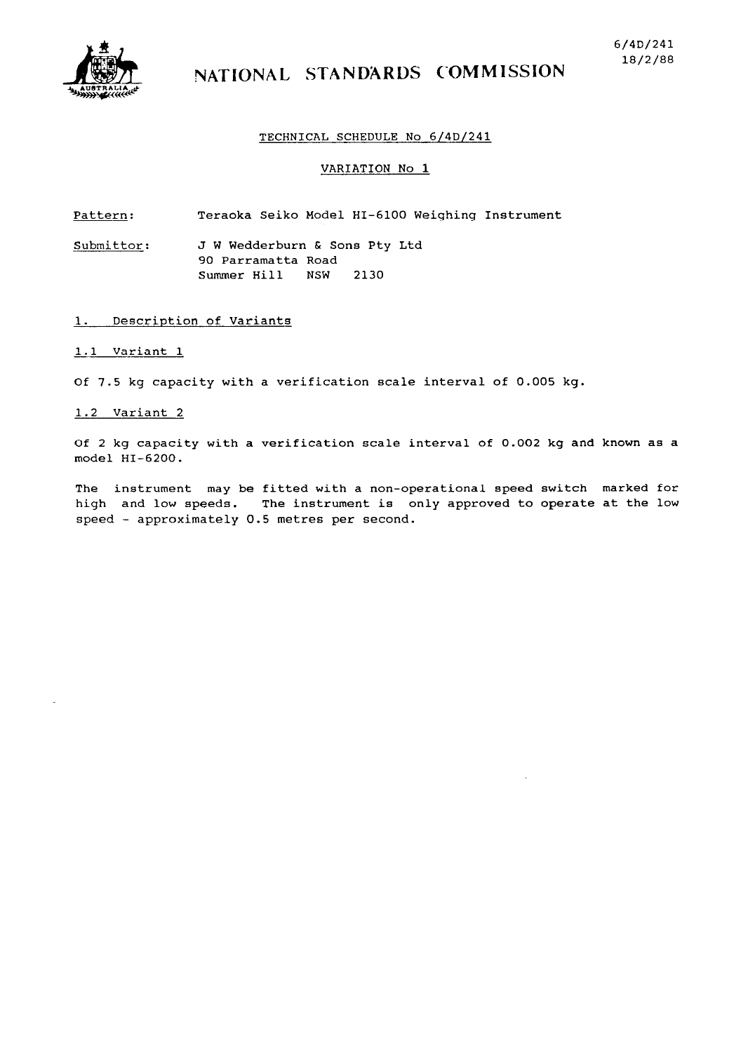

# NATIONAL STANDARDS COMMISSION

#### **TECHNICAL SCHEDULE No 6/4D/241**

#### **VARIATION No 1**

**Pattern: Teraoka Seiko Model HI-6100 Weighing Instrument** 

**Submittor: J W Wedderburn & Sons Pty Ltd 90 Parramatta Road Summer Hill NSW 2130** 

# **1. Description of Variants**

#### **1.1 Variant 1**

**Of 7.5 kg capacity with a verification scale interval of 0.005 kg.** 

#### **1.2 Variant 2**

**Of 2 kg capacity with a verification scale interval of 0.002 kg and known as a model HI-6200.** 

**The instrument may be fitted with a non-operational speed switch marked for high and low speeds. The instrument is only approved to operate at the low speed - approximately 0.5 metres per second.**